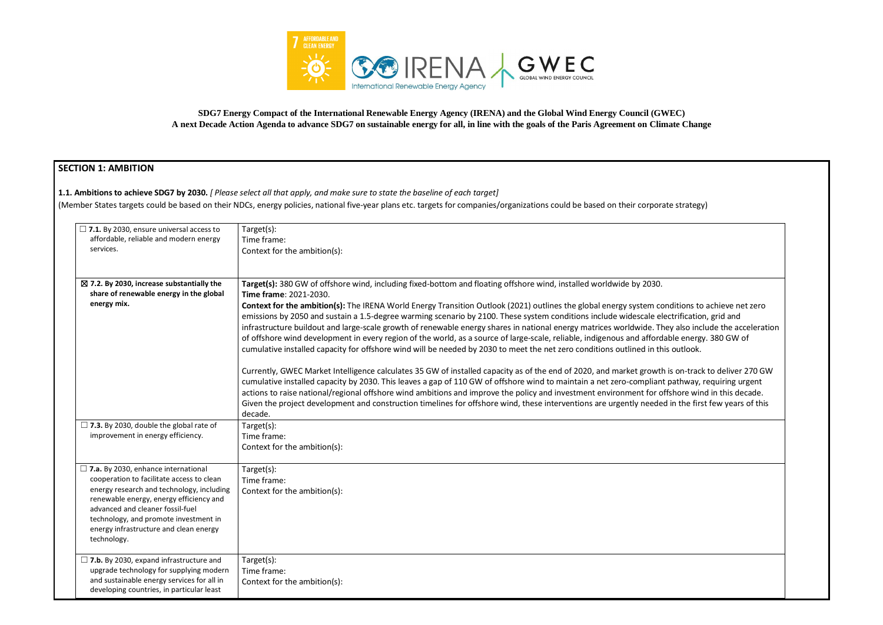

**SDG7 Energy Compact of the International Renewable Energy Agency (IRENA) and the Global Wind Energy Council (GWEC) A next Decade Action Agenda to advance SDG7 on sustainable energy for all, in line with the goals of the Paris Agreement on Climate Change**

# **SECTION 1: AMBITION**

### **1.1. Ambitions to achieve SDG7 by 2030.** *[ Please select all that apply, and make sure to state the baseline of each target]*

(Member States targets could be based on their NDCs, energy policies, national five-year plans etc. targets for companies/organizations could be based on their corporate strategy)

| $\Box$ 7.1. By 2030, ensure universal access to<br>affordable, reliable and modern energy<br>services.                                                                                                                                                                                                                | Target(s):<br>Time frame:<br>Context for the ambition(s):                                                                                                                                                                                                                                                                                                                                                                                                                                                                                                                                                                                                                                                                                                                                                                                                                                                                                                                                                                                                                                                                                                                                                                                                                                                                                                                    |
|-----------------------------------------------------------------------------------------------------------------------------------------------------------------------------------------------------------------------------------------------------------------------------------------------------------------------|------------------------------------------------------------------------------------------------------------------------------------------------------------------------------------------------------------------------------------------------------------------------------------------------------------------------------------------------------------------------------------------------------------------------------------------------------------------------------------------------------------------------------------------------------------------------------------------------------------------------------------------------------------------------------------------------------------------------------------------------------------------------------------------------------------------------------------------------------------------------------------------------------------------------------------------------------------------------------------------------------------------------------------------------------------------------------------------------------------------------------------------------------------------------------------------------------------------------------------------------------------------------------------------------------------------------------------------------------------------------------|
| $\boxtimes$ 7.2. By 2030, increase substantially the<br>share of renewable energy in the global<br>energy mix.                                                                                                                                                                                                        | Target(s): 380 GW of offshore wind, including fixed-bottom and floating offshore wind, installed worldwide by 2030.<br>Time frame: 2021-2030.<br>Context for the ambition(s): The IRENA World Energy Transition Outlook (2021) outlines the global energy system conditions to<br>emissions by 2050 and sustain a 1.5-degree warming scenario by 2100. These system conditions include widescale electrificatio<br>infrastructure buildout and large-scale growth of renewable energy shares in national energy matrices worldwide. They also inc<br>of offshore wind development in every region of the world, as a source of large-scale, reliable, indigenous and affordable energ<br>cumulative installed capacity for offshore wind will be needed by 2030 to meet the net zero conditions outlined in this outlook.<br>Currently, GWEC Market Intelligence calculates 35 GW of installed capacity as of the end of 2020, and market growth is on-tracl<br>cumulative installed capacity by 2030. This leaves a gap of 110 GW of offshore wind to maintain a net zero-compliant pathway,<br>actions to raise national/regional offshore wind ambitions and improve the policy and investment environment for offshore wir<br>Given the project development and construction timelines for offshore wind, these interventions are urgently needed in the firs<br>decade. |
| $\Box$ 7.3. By 2030, double the global rate of<br>improvement in energy efficiency.                                                                                                                                                                                                                                   | Target(s):<br>Time frame:<br>Context for the ambition(s):                                                                                                                                                                                                                                                                                                                                                                                                                                                                                                                                                                                                                                                                                                                                                                                                                                                                                                                                                                                                                                                                                                                                                                                                                                                                                                                    |
| $\Box$ 7.a. By 2030, enhance international<br>cooperation to facilitate access to clean<br>energy research and technology, including<br>renewable energy, energy efficiency and<br>advanced and cleaner fossil-fuel<br>technology, and promote investment in<br>energy infrastructure and clean energy<br>technology. | Target(s):<br>Time frame:<br>Context for the ambition(s):                                                                                                                                                                                                                                                                                                                                                                                                                                                                                                                                                                                                                                                                                                                                                                                                                                                                                                                                                                                                                                                                                                                                                                                                                                                                                                                    |
| $\Box$ 7.b. By 2030, expand infrastructure and<br>upgrade technology for supplying modern<br>and sustainable energy services for all in<br>developing countries, in particular least                                                                                                                                  | Target(s):<br>Time frame:<br>Context for the ambition(s):                                                                                                                                                                                                                                                                                                                                                                                                                                                                                                                                                                                                                                                                                                                                                                                                                                                                                                                                                                                                                                                                                                                                                                                                                                                                                                                    |

nditions to achieve net zero ectrification, grid and ey also include the acceleration ble energy. 380 GW of

is on-track to deliver 270 GW pathway, requiring urgent fshore wind in this decade. in the first few years of this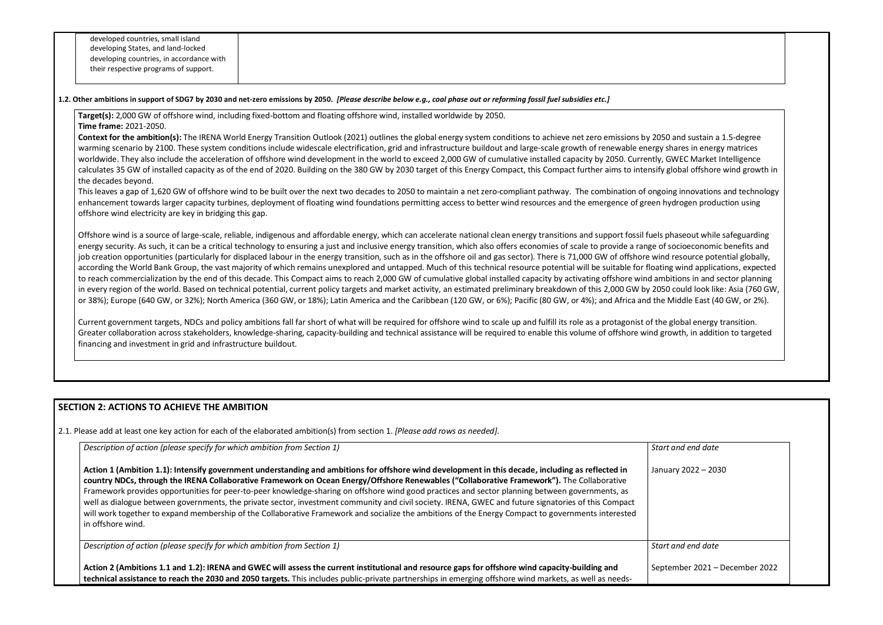#### **1.2. Other ambitions in support of SDG7 by 2030 and net-zero emissions by 2050.** *[Please describe below e.g., coal phase out or reforming fossil fuel subsidies etc.]*

**Target(s):** 2,000 GW of offshore wind, including fixed-bottom and floating offshore wind, installed worldwide by 2050.

**Time frame:** 2021-2050.

**Context for the ambition(s):** The IRENA World Energy Transition Outlook (2021) outlines the global energy system conditions to achieve net zero emissions by 2050 and sustain a 1.5-degree warming scenario by 2100. These system conditions include widescale electrification, grid and infrastructure buildout and large-scale growth of renewable energy shares in energy matrices worldwide. They also include the acceleration of offshore wind development in the world to exceed 2,000 GW of cumulative installed capacity by 2050. Currently, GWEC Market Intelligence calculates 35 GW of installed capacity as of the end of 2020. Building on the 380 GW by 2030 target of this Energy Compact, this Compact further aims to intensify global offshore wind growth in the decades beyond.

This leaves a gap of 1,620 GW of offshore wind to be built over the next two decades to 2050 to maintain a net zero-compliant pathway. The combination of ongoing innovations and technology enhancement towards larger capacity turbines, deployment of floating wind foundations permitting access to better wind resources and the emergence of green hydrogen production using offshore wind electricity are key in bridging this gap.

Offshore wind is a source of large-scale, reliable, indigenous and affordable energy, which can accelerate national clean energy transitions and support fossil fuels phaseout while safeguarding energy security. As such, it can be a critical technology to ensuring a just and inclusive energy transition, which also offers economies of scale to provide a range of socioeconomic benefits and job creation opportunities (particularly for displaced labour in the energy transition, such as in the offshore oil and gas sector). There is 71,000 GW of offshore wind resource potential globally, according the World Bank Group, the vast majority of which remains unexplored and untapped. Much of this technical resource potential will be suitable for floating wind applications, expected to reach commercialization by the end of this decade. This Compact aims to reach 2,000 GW of cumulative global installed capacity by activating offshore wind ambitions in and sector planning in every region of the world. Based on technical potential, current policy targets and market activity, an estimated preliminary breakdown of this 2,000 GW by 2050 could look like: Asia (760 GW, or 38%); Europe (640 GW, or 32%); North America (360 GW, or 18%); Latin America and the Caribbean (120 GW, or 6%); Pacific (80 GW, or 4%); and Africa and the Middle East (40 GW, or 2%).

Current government targets, NDCs and policy ambitions fall far short of what will be required for offshore wind to scale up and fulfill its role as a protagonist of the global energy transition. Greater collaboration across stakeholders, knowledge-sharing, capacity-building and technical assistance will be required to enable this volume of offshore wind growth, in addition to targeted financing and investment in grid and infrastructure buildout.

# **SECTION 2: ACTIONS TO ACHIEVE THE AMBITION**

2.1. Please add at least one key action for each of the elaborated ambition(s) from section 1. *[Please add rows as needed].*

| Description of action (please specify for which ambition from Section 1)                                                                                                                                                                                                                                                                                                                                                                                                                                                                                                                                                                                                                                                                                                              | <b>Start</b> |
|---------------------------------------------------------------------------------------------------------------------------------------------------------------------------------------------------------------------------------------------------------------------------------------------------------------------------------------------------------------------------------------------------------------------------------------------------------------------------------------------------------------------------------------------------------------------------------------------------------------------------------------------------------------------------------------------------------------------------------------------------------------------------------------|--------------|
| Action 1 (Ambition 1.1): Intensify government understanding and ambitions for offshore wind development in this decade, including as reflected in<br>country NDCs, through the IRENA Collaborative Framework on Ocean Energy/Offshore Renewables ("Collaborative Framework"). The Collaborative<br>Framework provides opportunities for peer-to-peer knowledge-sharing on offshore wind good practices and sector planning between governments, as<br>well as dialogue between governments, the private sector, investment community and civil society. IRENA, GWEC and future signatories of this Compact<br>will work together to expand membership of the Collaborative Framework and socialize the ambitions of the Energy Compact to governments interested<br>in offshore wind. | Janu         |
| Description of action (please specify for which ambition from Section 1)                                                                                                                                                                                                                                                                                                                                                                                                                                                                                                                                                                                                                                                                                                              | <b>Start</b> |
| Action 2 (Ambitions 1.1 and 1.2): IRENA and GWEC will assess the current institutional and resource gaps for offshore wind capacity-building and<br>technical assistance to reach the 2030 and 2050 targets. This includes public-private partnerships in emerging offshore wind markets, as well as needs-                                                                                                                                                                                                                                                                                                                                                                                                                                                                           | Sept         |

*Start and end date* 

ary 2022 – 2030

and end date

ember 2021 – December 2022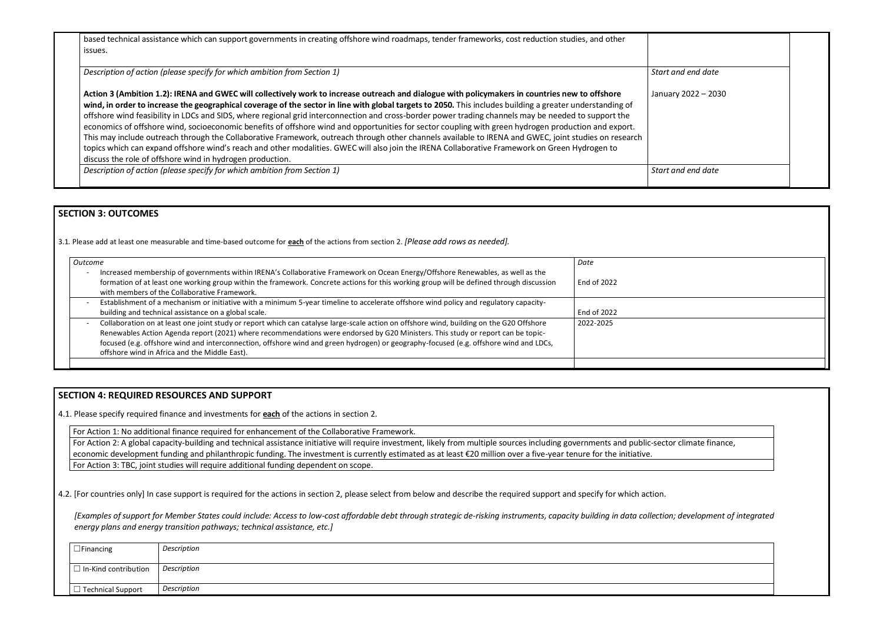based technical assistance which can support governments in creating offshore wind roadmaps, tender frameworks, cost reduction studies, and other issues.

**Action 3 (Ambition 1.2): IRENA and GWEC will collectively work to increase outreach and dialogue with policymakers in countries new to offshore wind, in order to increase the geographical coverage of the sector in line with global targets to 2050.** This includes building a greater understanding of offshore wind feasibility in LDCs and SIDS, where regional grid interconnection and cross-border power trading channels may be needed to support the economics of offshore wind, socioeconomic benefits of offshore wind and opportunities for sector coupling with green hydrogen production and export. This may include outreach through the Collaborative Framework, outreach through other channels available to IRENA and GWEC, joint studies on research topics which can expand offshore wind's reach and other modalities. GWEC will also join the IRENA Collaborative Framework on Green Hydrogen to discuss the role of offshore wind in hydrogen production. Janu

*Description of action (please specify for which ambition from Section 1)* **Start and data and data and data and data and data and data and data and data and data and data and data and data and data and data and data and d** 

*Description of action (please specify for which ambition from Section 1)*

| Start and end date  |  |
|---------------------|--|
| January 2022 - 2030 |  |
| Start and end date  |  |

| or climate finance,          |
|------------------------------|
|                              |
| n; development of integrated |
|                              |
|                              |

# **SECTION 3: OUTCOMES**

3.1*.* Please add at least one measurable and time-based outcome for **each** of the actions from section 2. *[Please add rows as needed].*

For Action 2: A global capacity-building and technical assistance initiative will require investment, likely from multiple sources including governments and public-sect economic development funding and philanthropic funding. The investment is currently estimated as at least €20 million over a five-year tenure for the initiative. For Action 3: TBC, joint studies will require additional funding dependent on scope.

*[Examples of support for Member States could include: Access to low-cost affordable debt through strategic de-risking instruments, capacity building in data collection; energy plans and energy transition pathways; technical assistance, etc.]*

| Outcome                                                                                                                                                                                                                                                                                                                                                                                                                                                               | Date        |
|-----------------------------------------------------------------------------------------------------------------------------------------------------------------------------------------------------------------------------------------------------------------------------------------------------------------------------------------------------------------------------------------------------------------------------------------------------------------------|-------------|
| Increased membership of governments within IRENA's Collaborative Framework on Ocean Energy/Offshore Renewables, as well as the<br>formation of at least one working group within the framework. Concrete actions for this working group will be defined through discussion<br>with members of the Collaborative Framework.                                                                                                                                            | End of 2022 |
| Establishment of a mechanism or initiative with a minimum 5-year timeline to accelerate offshore wind policy and regulatory capacity-<br>$\overline{\phantom{0}}$<br>building and technical assistance on a global scale.                                                                                                                                                                                                                                             | End of 2022 |
| Collaboration on at least one joint study or report which can catalyse large-scale action on offshore wind, building on the G20 Offshore<br>Renewables Action Agenda report (2021) where recommendations were endorsed by G20 Ministers. This study or report can be topic-<br>focused (e.g. offshore wind and interconnection, offshore wind and green hydrogen) or geography-focused (e.g. offshore wind and LDCs,<br>offshore wind in Africa and the Middle East). | 2022-2025   |
|                                                                                                                                                                                                                                                                                                                                                                                                                                                                       |             |

# **SECTION 4: REQUIRED RESOURCES AND SUPPORT**

4.1. Please specify required finance and investments for **each** of the actions in section 2.

For Action 1: No additional finance required for enhancement of the Collaborative Framework.

4.2. [For countries only] In case support is required for the actions in section 2, please select from below and describe the required support and specify for which action.

| $\Box$ Financing            | Description        |
|-----------------------------|--------------------|
|                             |                    |
| $\Box$ In-Kind contribution | Description        |
| $\Box$ Technical Support    | <b>Description</b> |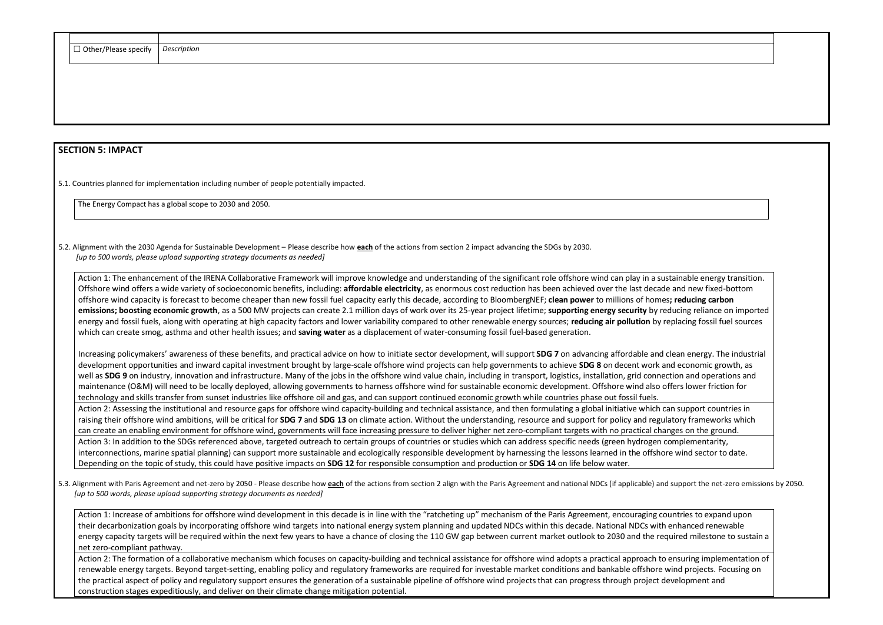| □ Other/Please specify | Description |
|------------------------|-------------|
|                        |             |

# **SECTION 5: IMPACT**

5.1. Countries planned for implementation including number of people potentially impacted.

The Energy Compact has a global scope to 2030 and 2050.

5.2. Alignment with the 2030 Agenda for Sustainable Development – Please describe how **each** of the actions from section 2 impact advancing the SDGs by 2030. *[up to 500 words, please upload supporting strategy documents as needed]* 

Action 1: The enhancement of the IRENA Collaborative Framework will improve knowledge and understanding of the significant role offshore wind can play in a su Offshore wind offers a wide variety of socioeconomic benefits, including: **affordable electricity**, as enormous cost reduction has been achieved over the last decad offshore wind capacity is forecast to become cheaper than new fossil fuel capacity early this decade, according to BloombergNEF; **clean power** to millions of home **emissions; boosting economic growth**, as a 500 MW projects can create 2.1 million days of work over its 25-year project lifetime; **supporting energy security** by re energy and fossil fuels, along with operating at high capacity factors and lower variability compared to other renewable energy sources; reducing air pollution by which can create smog, asthma and other health issues; and **saving water** as a displacement of water-consuming fossil fuel-based generation.

Increasing policymakers' awareness of these benefits, and practical advice on how to initiate sector development, will support **SDG 7** on advancing affordable and development opportunities and inward capital investment brought by large-scale offshore wind projects can help governments to achieve **SDG 8** on decent work a well as SDG 9 on industry, innovation and infrastructure. Many of the jobs in the offshore wind value chain, including in transport, logistics, installation, grid conne maintenance (O&M) will need to be locally deployed, allowing governments to harness offshore wind for sustainable economic development. Offshore wind also o technology and skills transfer from sunset industries like offshore oil and gas, and can support continued economic growth while countries phase out fossil fuels. Action 2: Assessing the institutional and resource gaps for offshore wind capacity-building and technical assistance, and then formulating a global initiative which c raising their offshore wind ambitions, will be critical for **SDG 7** and **SDG 13** on climate action. Without the understanding, resource and support for policy and regulatory for policy and regulatory frameworks will be cri can create an enabling environment for offshore wind, governments will face increasing pressure to deliver higher net zero-compliant targets with no practical cha Action 3: In addition to the SDGs referenced above, targeted outreach to certain groups of countries or studies which can address specific needs (green hydrogen interconnections, marine spatial planning) can support more sustainable and ecologically responsible development by harnessing the lessons learned in the offshore under the product of the offshore wind and sector to data f Depending on the topic of study, this could have positive impacts on **SDG 12** for responsible consumption and production or **SDG 14** on life below water.

5.3. Alignment with Paris Agreement and net-zero by 2050 - Please describe how each of the actions from section 2 align with the Paris Agreement and national NDCs (if applicable) and *[up to 500 words, please upload supporting strategy documents as needed]* 

Action 1: Increase of ambitions for offshore wind development in this decade is in line with the "ratcheting up" mechanism of the Paris Agreement, encouraging co their decarbonization goals by incorporating offshore wind targets into national energy system planning and updated NDCs within this decade. National NDCs with energy capacity targets will be required within the next few years to have a chance of closing the 110 GW gap between current market outlook to 2030 and the required milestone to sustain a net zero-compliant pathway.

Action 2: The formation of a collaborative mechanism which focuses on capacity-building and technical assistance for offshore wind adopts a practical approach to ensuring implementation of renewable energy targets. Beyond target-setting, enabling policy and regulatory frameworks are required for investable market conditions and bankable offshore wind projects. Focusing on the practical aspect of policy and regulatory support ensures the generation of a sustainable pipeline of offshore wind projects that can progress through project development and construction stages expeditiously, and deliver on their climate change mitigation potential.

| istainable energy transition.                                 |
|---------------------------------------------------------------|
| le and new fixed-bottom                                       |
| es; reducing carbon                                           |
| educing reliance on imported<br>replacing fossil fuel sources |
|                                                               |
|                                                               |
| clean energy. The industrial                                  |
| and economic growth, as                                       |
| ection and operations and<br>offers lower friction for        |
|                                                               |
| can support countries in                                      |
| llatory frameworks which                                      |
| anges on the ground.                                          |
| complementarity,                                              |
| ore wind sector to date.                                      |
| d support the net-zero emissions by 2050.                     |
| puntries to expand upon                                       |
| n enhanced renewable                                          |
| muired milestone to sustain a                                 |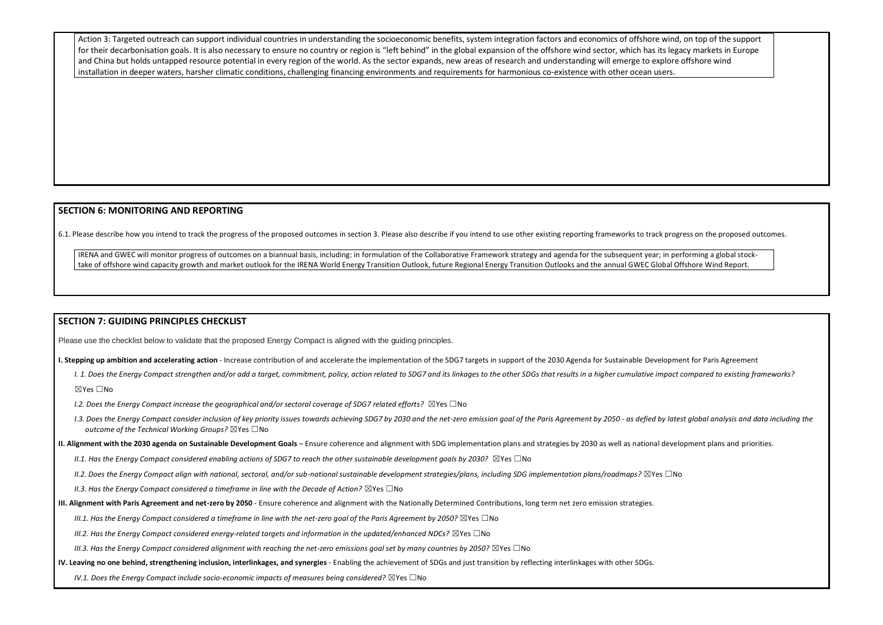Action 3: Targeted outreach can support individual countries in understanding the socioeconomic benefits, system integration factors and economics of offshore wind, on top of the support for their decarbonisation goals. It is also necessary to ensure no country or region is "left behind" in the global expansion of the offshore wind sector, which has its legacy markets in Europe and China but holds untapped resource potential in every region of the world. As the sector expands, new areas of research and understanding will emerge to explore offshore wind installation in deeper waters, harsher climatic conditions, challenging financing environments and requirements for harmonious co-existence with other ocean users.

# **SECTION 6: MONITORING AND REPORTING**

6.1. Please describe how you intend to track the progress of the proposed outcomes in section 3. Please also describe if you intend to use other existing reporting frameworks to track progress on the proposed outcomes.

IRENA and GWEC will monitor progress of outcomes on a biannual basis, including: in formulation of the Collaborative Framework strategy and agenda for the subsequent year; in performing a global stocktake of offshore wind capacity growth and market outlook for the IRENA World Energy Transition Outlook, future Regional Energy Transition Outlooks and the annual GWEC Global Offshore Wind Report.

I. 1. Does the Energy Compact strengthen and/or add a target, commitment, policy, action related to SDG7 and its linkages to the other SDGs that results in a higher cumulative impact compared to existing frameworks? ☒Yes ☐No

*I.2. Does the Energy Compact increase the geographical and/or sectoral coverage of SDG7 related efforts?* ⊠Yes □No

- 1.3. Does the Energy Compact consider inclusion of key priority issues towards achieving SDG7 by 2030 and the net-zero emission goal of the Paris Agreement by 2050 as defied by latest global analysis and data including t *outcome of the Technical Working Groups?* ☒Yes ☐No
- **II. Alignment with the 2030 agenda on Sustainable Development Goals** Ensure coherence and alignment with SDG implementation plans and strategies by 2030 as well as national development plans and priorities.
	- *II.1. Has the Energy Compact considered enabling actions of SDG7 to reach the other sustainable development goals by 2030?* ⊠Yes □No

### **SECTION 7: GUIDING PRINCIPLES CHECKLIST**

Please use the checklist below to validate that the proposed Energy Compact is aligned with the guiding principles.

**I. Stepping up ambition and accelerating action** - Increase contribution of and accelerate the implementation of the SDG7 targets in support of the 2030 Agenda for Sustainable Development for Paris Agreement

*II.2. Does the Energy Compact align with national, sectoral, and/or sub-national sustainable development strategies/plans, including SDG implementation plans/roadmaps?* ☒Yes ☐No

- *II.3. Has the Energy Compact considered a timeframe in line with the Decade of Action?* ⊠Yes □No
- **III. Alignment with Paris Agreement and net-zero by 2050** Ensure coherence and alignment with the Nationally Determined Contributions, long term net zero emission strategies.
	- *III.1. Has the Energy Compact considered a timeframe in line with the net-zero goal of the Paris Agreement by 2050?* ⊠Yes □No

*III.2. Has the Energy Compact considered energy-related targets and information in the updated/enhanced NDCs?* ⊠Yes □No

*III.3. Has the Energy Compact considered alignment with reaching the net-zero emissions goal set by many countries by 2050?* ⊠Yes □No

**IV. Leaving no one behind, strengthening inclusion, interlinkages, and synergies** - Enabling the achievement of SDGs and just transition by reflecting interlinkages with other SDGs.

*IV.1. Does the Energy Compact include socio-economic impacts of measures being considered?* ⊠Yes □No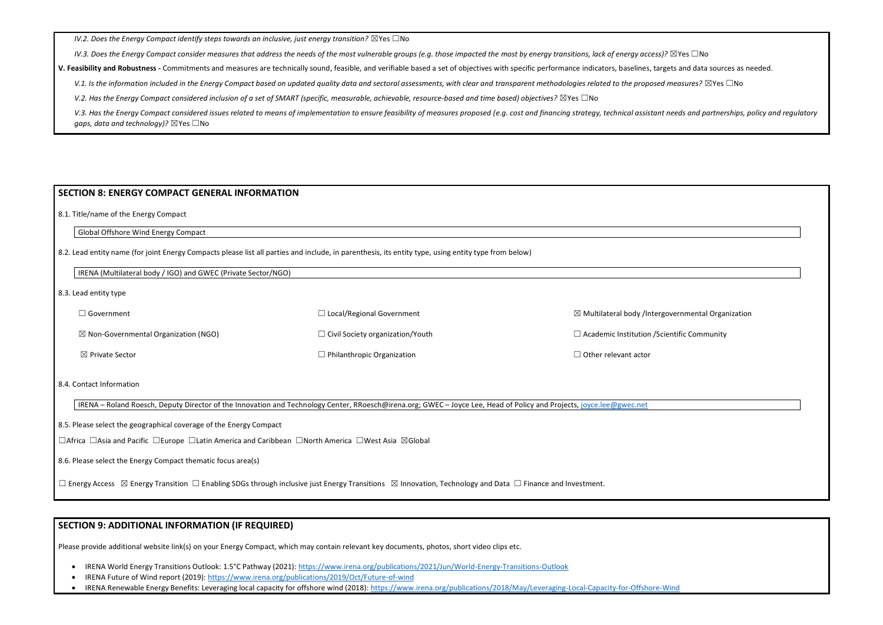*IV.2. Does the Energy Compact identify steps towards an inclusive, just energy transition?* ⊠Yes □No

*IV.3. Does the Energy Compact consider measures that address the needs of the most vulnerable groups (e.g. those impacted the most by energy transitions, lack of energy access)?* 

V. Feasibility and Robustness - Commitments and measures are technically sound, feasible, and verifiable based a set of objectives with specific performance indicators, baselines, targets are sources are technically sound,

V.1. Is the information included in the Energy Compact based on updated quality data and sectoral assessments, with clear and transparent methodologies related to the proposed

*V.2. Has the Energy Compact considered inclusion of a set of SMART (specific, measurable, achievable, resource-based and time based) objectives?* ⊠Yes □No

V.3. Has the Energy Compact considered issues related to means of implementation to ensure feasibility of measures proposed (e.g. cost and financing strategy, technical assistant *gaps, data and technology*)? ⊠Yes □No

| ⊿ Government                                    | $\Box$ Local/Regional Government        | $\boxtimes$ Multilateral body /Intergovernmental Organization |
|-------------------------------------------------|-----------------------------------------|---------------------------------------------------------------|
| $\boxtimes$ Non-Governmental Organization (NGO) | $\Box$ Civil Society organization/Youth | $\Box$ Academic Institution / Scientific Community            |
| $\boxtimes$ Private Sector                      | $\Box$ Philanthropic Organization       | $\Box$ Other relevant actor                                   |

### **SECTION 8: ENERGY COMPACT GENERAL INFORMATION**

8.1. Title/name of the Energy Compact

Global Offshore Wind Energy Compact

8.2. Lead entity name (for joint Energy Compacts please list all parties and include, in parenthesis, its entity type, using entity type from below)

IRENA (Multilateral body / IGO) and GWEC (Private Sector/NGO)

8.3. Lead entity type

8.4. Contact Information

| IRENA – Roland Roesch, Deputy Director of the Innovation and Technology Center, RRoesch@irena.org; GWEC – Joyce Lee, Head of Policy and Projects, [joyce.lee@gwec.net](mailto:joyce.lee@gwec.net)

8.5. Please select the geographical coverage of the Energy Compact

☐Africa ☐Asia and Pacific ☐Europe ☐Latin America and Caribbean ☐North America ☐West Asia ☒Global

8.6. Please select the Energy Compact thematic focus area(s)

☐ Energy Access ☒ Energy Transition ☐ Enabling SDGs through inclusive just Energy Transitions ☒ Innovation, Technology and Data ☐ Finance and Investment.

### **SECTION 9: ADDITIONAL INFORMATION (IF REQUIRED)**

Please provide additional website link(s) on your Energy Compact, which may contain relevant key documents, photos, short video clips etc.

- IRENA World Energy Transitions Outlook: 1.5°C Pathway (2021):<https://www.irena.org/publications/2021/Jun/World-Energy-Transitions-Outlook>
- IRENA Future of Wind report (2019):<https://www.irena.org/publications/2019/Oct/Future-of-wind>
- IRENA Renewable Energy Benefits: Leveraging local capacity for offshore wind (2018):<https://www.irena.org/publications/2018/May/Leveraging-Local-Capacity-for-Offshore-Wind>

| o ⊠Yes ⊡No                                    |
|-----------------------------------------------|
| ets and data sources as needed.               |
| <i>measures</i> ? $\boxtimes$ Yes $\Box$ No   |
|                                               |
| needs and partnerships, policy and regulatory |

| overnmental Organization |  |
|--------------------------|--|
| entific Community        |  |
|                          |  |
|                          |  |
|                          |  |
|                          |  |
|                          |  |
|                          |  |
|                          |  |